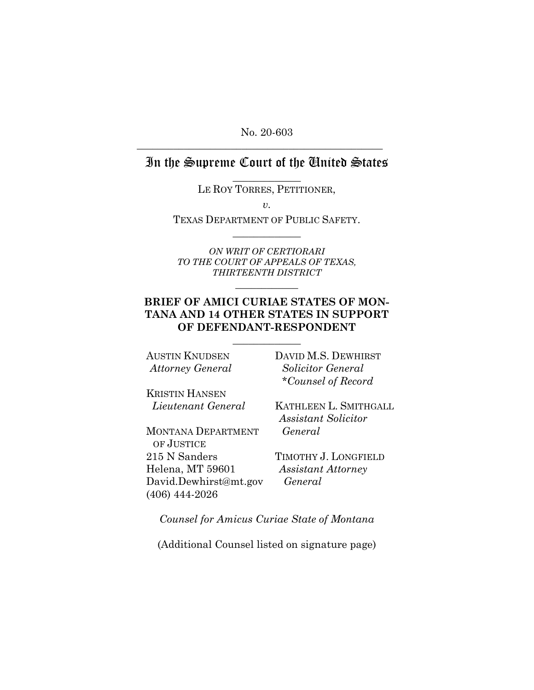No. 20-603

**\_\_\_\_\_\_\_\_\_\_\_\_\_\_\_\_\_\_\_\_\_\_\_\_\_\_\_\_\_\_\_\_\_\_\_\_\_\_\_\_\_\_\_\_\_\_\_** 

# In the Supreme Court of the United States

**\_\_\_\_\_\_\_\_\_\_\_\_\_**  LE ROY TORRES, PETITIONER,

*v.* 

TEXAS DEPARTMENT OF PUBLIC SAFETY. **\_\_\_\_\_\_\_\_\_\_\_\_\_**

*ON WRIT OF CERTIORARI TO THE COURT OF APPEALS OF TEXAS, THIRTEENTH DISTRICT*

### **BRIEF OF AMICI CURIAE STATES OF MON-TANA AND 14 OTHER STATES IN SUPPORT OF DEFENDANT-RESPONDENT**

**\_\_\_\_\_\_\_\_\_\_\_\_\_** 

**\_\_\_\_\_\_\_\_\_\_\_\_** 

AUSTIN KNUDSEN *Attorney General*

KRISTIN HANSEN *Lieutenant General*

MONTANA DEPARTMENT OF JUSTICE 215 N Sanders Helena, MT 59601 [David.Dewhirst@mt.gov](mailto:David.Dewhirst@mt.gov) (406) 444-2026

DAVID M.S. DEWHIRST *Solicitor General \*Counsel of Record*

KATHLEEN L. SMITHGALL *Assistant Solicitor General*

TIMOTHY J. LONGFIELD *Assistant Attorney General*

*Counsel for Amicus Curiae State of Montana*

(Additional Counsel listed on signature page)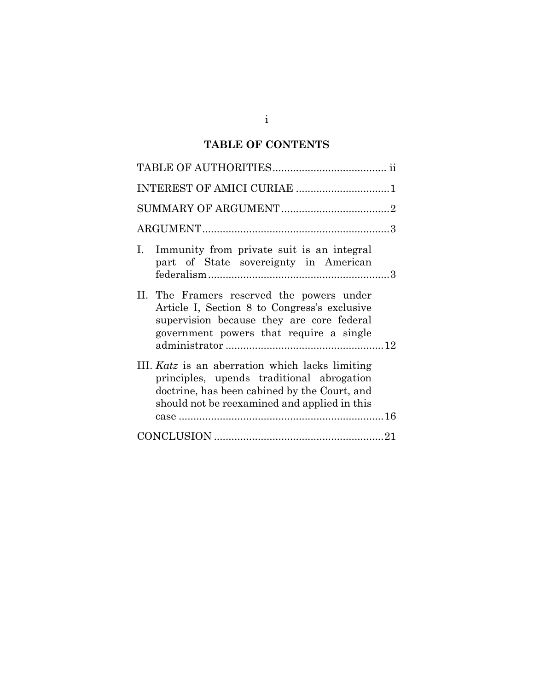# **TABLE OF CONTENTS**

| INTEREST OF AMICI CURIAE 1                                                                                                                                                                   |
|----------------------------------------------------------------------------------------------------------------------------------------------------------------------------------------------|
|                                                                                                                                                                                              |
|                                                                                                                                                                                              |
| Immunity from private suit is an integral<br>L.<br>part of State sovereignty in American                                                                                                     |
| II. The Framers reserved the powers under<br>Article I, Section 8 to Congress's exclusive<br>supervision because they are core federal<br>government powers that require a single            |
| III. Katz is an aberration which lacks limiting<br>principles, upends traditional abrogation<br>doctrine, has been cabined by the Court, and<br>should not be reexamined and applied in this |
|                                                                                                                                                                                              |

i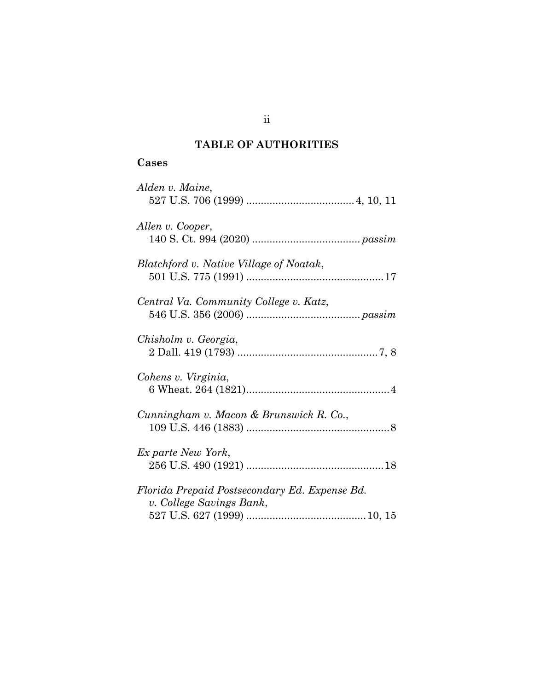# **TABLE OF AUTHORITIES**

## **Cases**

ii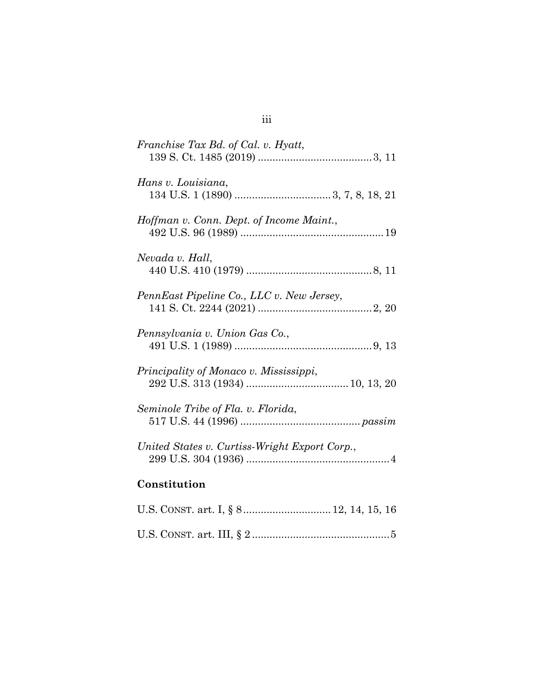| Franchise Tax Bd. of Cal. v. Hyatt,           |
|-----------------------------------------------|
| Hans v. Louisiana,                            |
| Hoffman v. Conn. Dept. of Income Maint.,      |
| Nevada v. Hall,                               |
| PennEast Pipeline Co., LLC v. New Jersey,     |
| Pennsylvania v. Union Gas Co.,                |
| Principality of Monaco v. Mississippi,        |
| Seminole Tribe of Fla. v. Florida,            |
| United States v. Curtiss-Wright Export Corp., |
| Constitution                                  |
| U.S. CONST. art. I, § 8 12, 14, 15, 16        |

|--|--|--|

# iii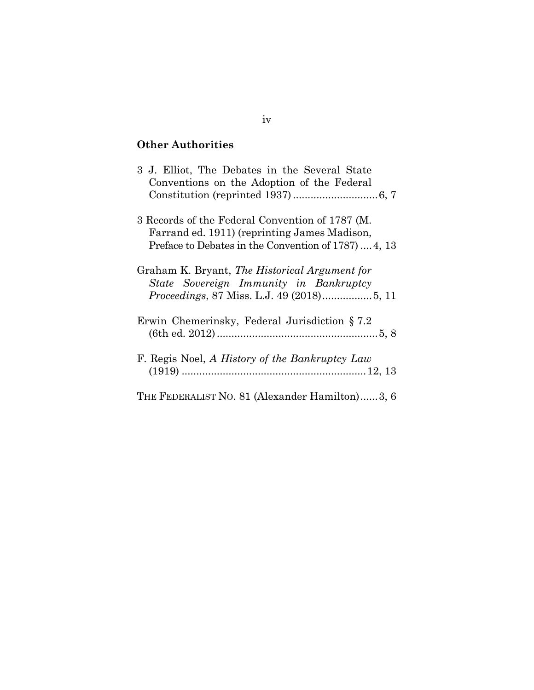## **Other Authorities**

| 3 J. Elliot, The Debates in the Several State<br>Conventions on the Adoption of the Federal                                                             |
|---------------------------------------------------------------------------------------------------------------------------------------------------------|
| 3 Records of the Federal Convention of 1787 (M.<br>Farrand ed. 1911) (reprinting James Madison,<br>Preface to Debates in the Convention of 1787)  4, 13 |
| Graham K. Bryant, The Historical Argument for<br>State Sovereign Immunity in Bankruptcy                                                                 |
| Erwin Chemerinsky, Federal Jurisdiction $\S 7.2$                                                                                                        |
| F. Regis Noel, A History of the Bankruptcy Law                                                                                                          |
| THE FEDERALIST NO. 81 (Alexander Hamilton)3, 6                                                                                                          |

### iv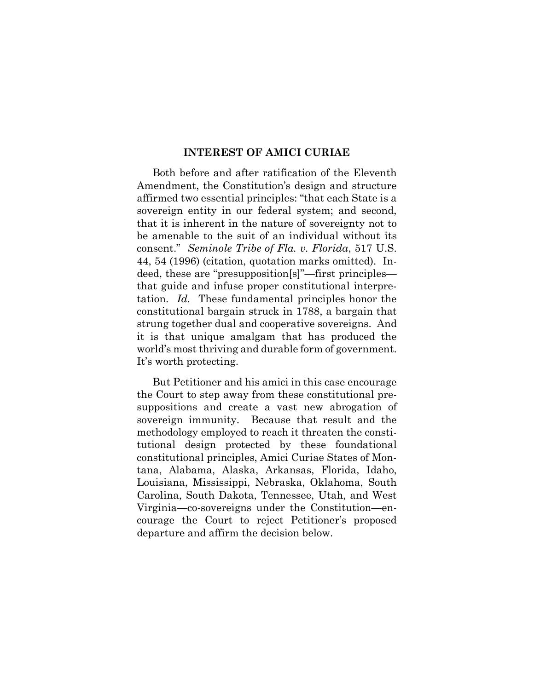#### **INTEREST OF AMICI CURIAE**

Both before and after ratification of the Eleventh Amendment, the Constitution's design and structure affirmed two essential principles: "that each State is a sovereign entity in our federal system; and second, that it is inherent in the nature of sovereignty not to be amenable to the suit of an individual without its consent." *Seminole Tribe of Fla. v. Florida*, 517 U.S. 44, 54 (1996) (citation, quotation marks omitted). Indeed, these are "presupposition[s]"—first principles that guide and infuse proper constitutional interpretation. *Id.* These fundamental principles honor the constitutional bargain struck in 1788, a bargain that strung together dual and cooperative sovereigns. And it is that unique amalgam that has produced the world's most thriving and durable form of government. It's worth protecting.

But Petitioner and his amici in this case encourage the Court to step away from these constitutional presuppositions and create a vast new abrogation of sovereign immunity. Because that result and the methodology employed to reach it threaten the constitutional design protected by these foundational constitutional principles, Amici Curiae States of Montana, Alabama, Alaska, Arkansas, Florida, Idaho, Louisiana, Mississippi, Nebraska, Oklahoma, South Carolina, South Dakota, Tennessee, Utah, and West Virginia—co-sovereigns under the Constitution—encourage the Court to reject Petitioner's proposed departure and affirm the decision below.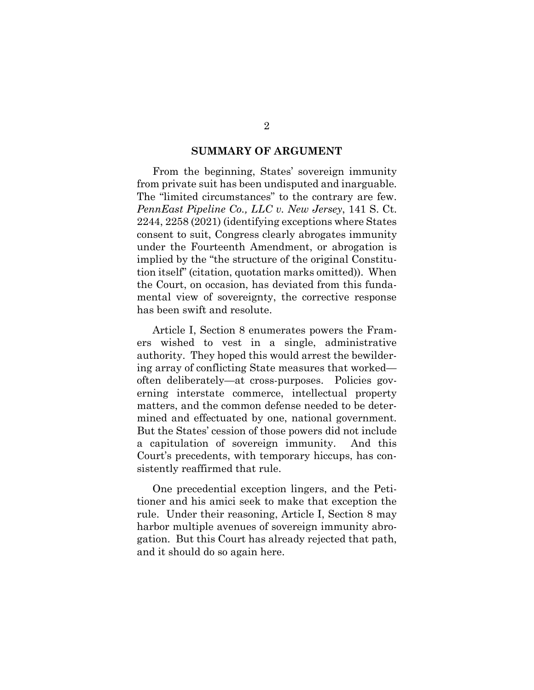#### **SUMMARY OF ARGUMENT**

From the beginning, States' sovereign immunity from private suit has been undisputed and inarguable. The "limited circumstances" to the contrary are few. *PennEast Pipeline Co., LLC v. New Jersey*, 141 S. Ct. 2244, 2258 (2021) (identifying exceptions where States consent to suit, Congress clearly abrogates immunity under the Fourteenth Amendment, or abrogation is implied by the "the structure of the original Constitution itself" (citation, quotation marks omitted)). When the Court, on occasion, has deviated from this fundamental view of sovereignty, the corrective response has been swift and resolute.

Article I, Section 8 enumerates powers the Framers wished to vest in a single, administrative authority. They hoped this would arrest the bewildering array of conflicting State measures that worked often deliberately—at cross-purposes. Policies governing interstate commerce, intellectual property matters, and the common defense needed to be determined and effectuated by one, national government. But the States' cession of those powers did not include a capitulation of sovereign immunity. And this Court's precedents, with temporary hiccups, has consistently reaffirmed that rule.

One precedential exception lingers, and the Petitioner and his amici seek to make that exception the rule. Under their reasoning, Article I, Section 8 may harbor multiple avenues of sovereign immunity abrogation. But this Court has already rejected that path, and it should do so again here.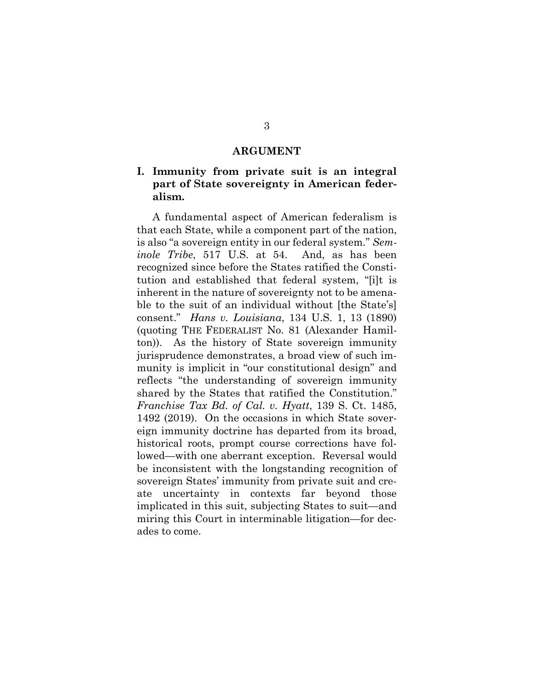#### **ARGUMENT**

### **I. Immunity from private suit is an integral part of State sovereignty in American federalism.**

A fundamental aspect of American federalism is that each State, while a component part of the nation, is also "a sovereign entity in our federal system." *Seminole Tribe*, 517 U.S. at 54. And, as has been recognized since before the States ratified the Constitution and established that federal system, "[i]t is inherent in the nature of sovereignty not to be amenable to the suit of an individual without [the State's] consent." *Hans v. Louisiana*, 134 U.S. 1, 13 (1890) (quoting THE FEDERALIST No. 81 (Alexander Hamilton)). As the history of State sovereign immunity jurisprudence demonstrates, a broad view of such immunity is implicit in "our constitutional design" and reflects "the understanding of sovereign immunity shared by the States that ratified the Constitution." *Franchise Tax Bd. of Cal. v. Hyatt*, 139 S. Ct. 1485, 1492 (2019). On the occasions in which State sovereign immunity doctrine has departed from its broad, historical roots, prompt course corrections have followed—with one aberrant exception. Reversal would be inconsistent with the longstanding recognition of sovereign States' immunity from private suit and create uncertainty in contexts far beyond those implicated in this suit, subjecting States to suit—and miring this Court in interminable litigation—for decades to come.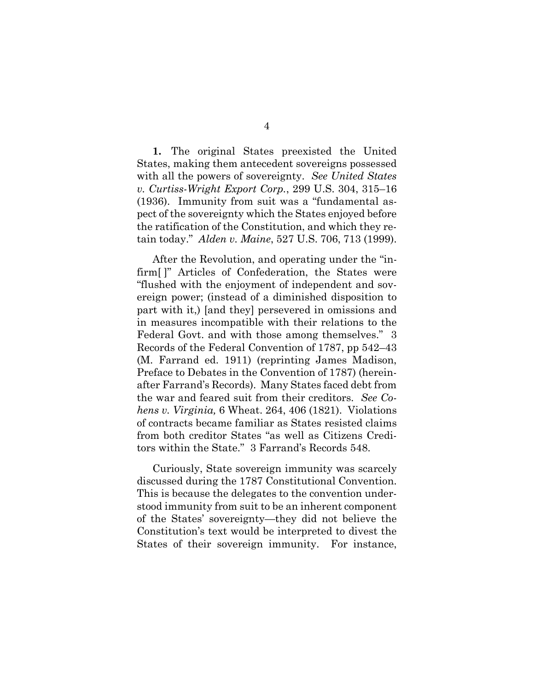**1.** The original States preexisted the United States, making them antecedent sovereigns possessed with all the powers of sovereignty. *See United States v. Curtiss-Wright Export Corp.*, 299 U.S. 304, 315–16 (1936). Immunity from suit was a "fundamental aspect of the sovereignty which the States enjoyed before the ratification of the Constitution, and which they retain today." *Alden v. Maine*, 527 U.S. 706, 713 (1999).

After the Revolution, and operating under the "infirm[ ]" Articles of Confederation, the States were "flushed with the enjoyment of independent and sovereign power; (instead of a diminished disposition to part with it,) [and they] persevered in omissions and in measures incompatible with their relations to the Federal Govt. and with those among themselves." 3 Records of the Federal Convention of 1787, pp 542–43 (M. Farrand ed. 1911) (reprinting James Madison, Preface to Debates in the Convention of 1787) (hereinafter Farrand's Records). Many States faced debt from the war and feared suit from their creditors. *See Cohens v. Virginia,* 6 Wheat. 264, 406 (1821). Violations of contracts became familiar as States resisted claims from both creditor States "as well as Citizens Creditors within the State." 3 Farrand's Records 548.

Curiously, State sovereign immunity was scarcely discussed during the 1787 Constitutional Convention. This is because the delegates to the convention understood immunity from suit to be an inherent component of the States' sovereignty—they did not believe the Constitution's text would be interpreted to divest the States of their sovereign immunity. For instance,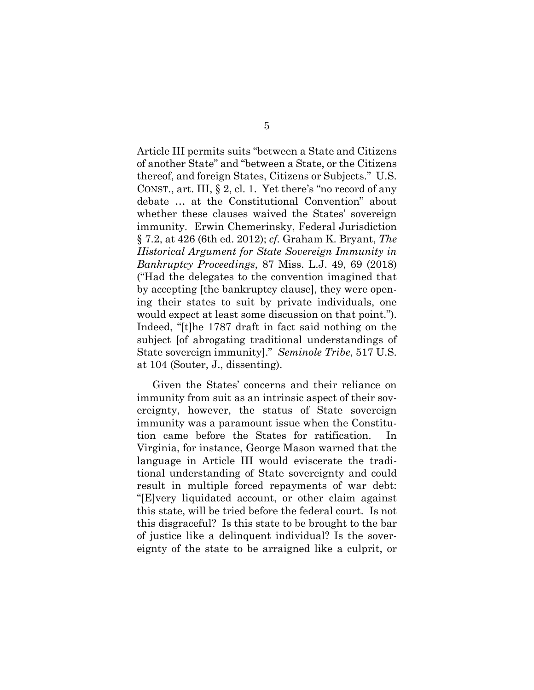Article III permits suits "between a State and Citizens of another State" and "between a State, or the Citizens thereof, and foreign States, Citizens or Subjects." U.S. CONST., art. III, § 2, cl. 1. Yet there's "no record of any debate … at the Constitutional Convention" about whether these clauses waived the States' sovereign immunity. Erwin Chemerinsky, Federal Jurisdiction § 7.2, at 426 (6th ed. 2012); *cf.* Graham K. Bryant, *The Historical Argument for State Sovereign Immunity in Bankruptcy Proceedings*, 87 Miss. L.J. 49, 69 (2018) ("Had the delegates to the convention imagined that by accepting [the bankruptcy clause], they were opening their states to suit by private individuals, one would expect at least some discussion on that point."). Indeed, "[t]he 1787 draft in fact said nothing on the subject [of abrogating traditional understandings of State sovereign immunity]." *Seminole Tribe*, 517 U.S. at 104 (Souter, J., dissenting).

Given the States' concerns and their reliance on immunity from suit as an intrinsic aspect of their sovereignty, however, the status of State sovereign immunity was a paramount issue when the Constitution came before the States for ratification. In Virginia, for instance, George Mason warned that the language in Article III would eviscerate the traditional understanding of State sovereignty and could result in multiple forced repayments of war debt: "[E]very liquidated account, or other claim against this state, will be tried before the federal court. Is not this disgraceful? Is this state to be brought to the bar of justice like a delinquent individual? Is the sovereignty of the state to be arraigned like a culprit, or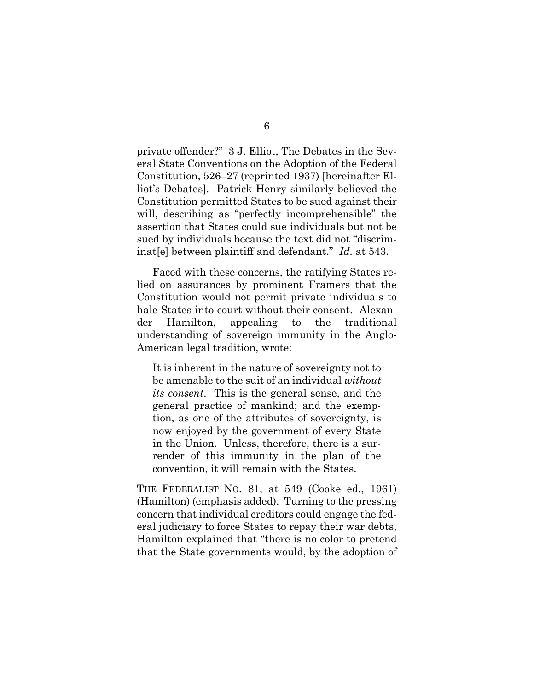private offender?" 3 J. Elliot, The Debates in the Several State Conventions on the Adoption of the Federal Constitution, 526–27 (reprinted 1937) [hereinafter Elliot's Debates]. Patrick Henry similarly believed the Constitution permitted States to be sued against their will, describing as "perfectly incomprehensible" the assertion that States could sue individuals but not be sued by individuals because the text did not "discriminat[e] between plaintiff and defendant." *Id.* at 543.

Faced with these concerns, the ratifying States relied on assurances by prominent Framers that the Constitution would not permit private individuals to hale States into court without their consent. Alexander Hamilton, appealing to the traditional understanding of sovereign immunity in the Anglo-American legal tradition, wrote:

It is inherent in the nature of sovereignty not to be amenable to the suit of an individual *without its consent*. This is the general sense, and the general practice of mankind; and the exemption, as one of the attributes of sovereignty, is now enjoyed by the government of every State in the Union. Unless, therefore, there is a surrender of this immunity in the plan of the convention, it will remain with the States.

THE FEDERALIST NO. 81, at 549 (Cooke ed., 1961) (Hamilton) (emphasis added). Turning to the pressing concern that individual creditors could engage the federal judiciary to force States to repay their war debts, Hamilton explained that "there is no color to pretend that the State governments would, by the adoption of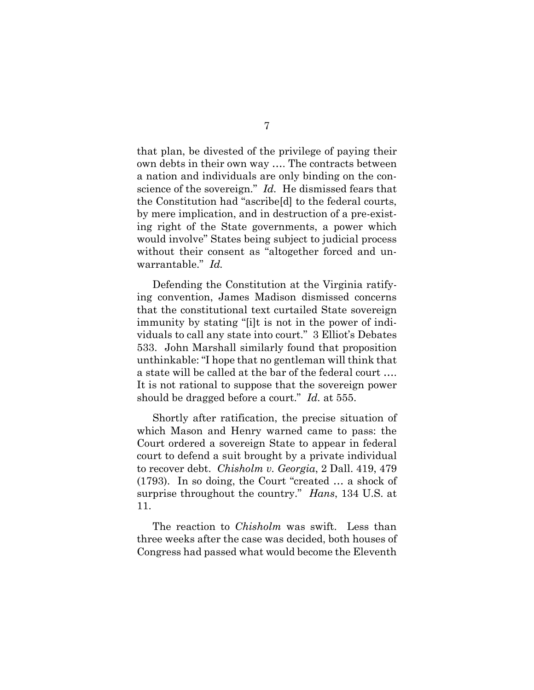that plan, be divested of the privilege of paying their own debts in their own way …. The contracts between a nation and individuals are only binding on the conscience of the sovereign." *Id.* He dismissed fears that the Constitution had "ascribe[d] to the federal courts, by mere implication, and in destruction of a pre-existing right of the State governments, a power which would involve" States being subject to judicial process without their consent as "altogether forced and unwarrantable." *Id.* 

Defending the Constitution at the Virginia ratifying convention, James Madison dismissed concerns that the constitutional text curtailed State sovereign immunity by stating "[i]t is not in the power of individuals to call any state into court." 3 Elliot's Debates 533. John Marshall similarly found that proposition unthinkable: "I hope that no gentleman will think that a state will be called at the bar of the federal court …. It is not rational to suppose that the sovereign power should be dragged before a court." *Id.* at 555.

Shortly after ratification, the precise situation of which Mason and Henry warned came to pass: the Court ordered a sovereign State to appear in federal court to defend a suit brought by a private individual to recover debt. *Chisholm v. Georgia*, 2 Dall. 419, 479 (1793). In so doing, the Court "created … a shock of surprise throughout the country." *Hans*, 134 U.S. at 11.

The reaction to *Chisholm* was swift. Less than three weeks after the case was decided, both houses of Congress had passed what would become the Eleventh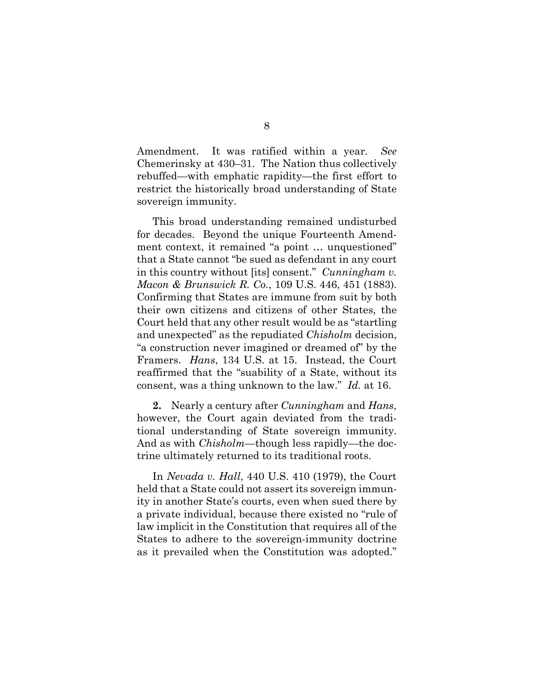Amendment. It was ratified within a year. *See* Chemerinsky at 430–31. The Nation thus collectively rebuffed—with emphatic rapidity—the first effort to restrict the historically broad understanding of State sovereign immunity.

This broad understanding remained undisturbed for decades. Beyond the unique Fourteenth Amendment context, it remained "a point … unquestioned" that a State cannot "be sued as defendant in any court in this country without [its] consent." *Cunningham v. Macon & Brunswick R. Co.*, 109 U.S. 446, 451 (1883). Confirming that States are immune from suit by both their own citizens and citizens of other States, the Court held that any other result would be as "startling and unexpected" as the repudiated *Chisholm* decision, "a construction never imagined or dreamed of" by the Framers. *Hans*, 134 U.S. at 15. Instead, the Court reaffirmed that the "suability of a State, without its consent, was a thing unknown to the law." *Id.* at 16.

**2.** Nearly a century after *Cunningham* and *Hans*, however, the Court again deviated from the traditional understanding of State sovereign immunity. And as with *Chisholm*—though less rapidly—the doctrine ultimately returned to its traditional roots.

In *Nevada v. Hall*, 440 U.S. 410 (1979), the Court held that a State could not assert its sovereign immunity in another State's courts, even when sued there by a private individual, because there existed no "rule of law implicit in the Constitution that requires all of the States to adhere to the sovereign-immunity doctrine as it prevailed when the Constitution was adopted."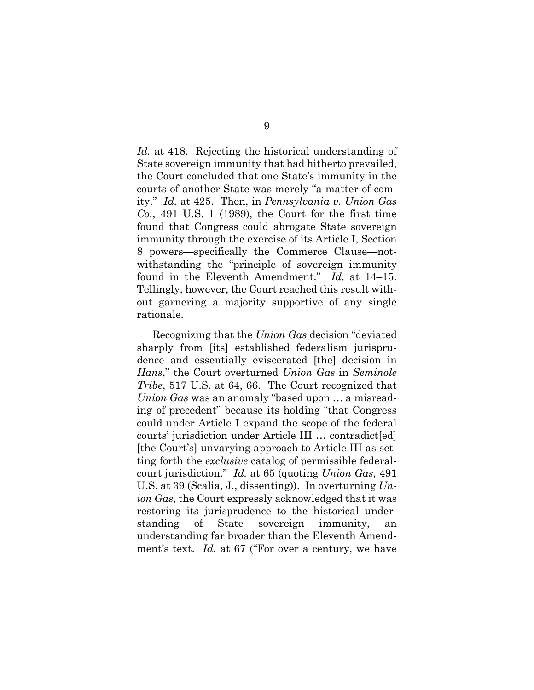*Id.* at 418. Rejecting the historical understanding of State sovereign immunity that had hitherto prevailed, the Court concluded that one State's immunity in the courts of another State was merely "a matter of comity." *Id.* at 425. Then, in *Pennsylvania v. Union Gas Co.*, 491 U.S. 1 (1989), the Court for the first time found that Congress could abrogate State sovereign immunity through the exercise of its Article I, Section 8 powers—specifically the Commerce Clause—notwithstanding the "principle of sovereign immunity found in the Eleventh Amendment." *Id.* at 14–15. Tellingly, however, the Court reached this result without garnering a majority supportive of any single rationale.

Recognizing that the *Union Gas* decision "deviated sharply from [its] established federalism jurisprudence and essentially eviscerated [the] decision in *Hans*," the Court overturned *Union Gas* in *Seminole Tribe*, 517 U.S. at 64, 66. The Court recognized that *Union Gas* was an anomaly "based upon … a misreading of precedent" because its holding "that Congress could under Article I expand the scope of the federal courts' jurisdiction under Article III … contradict[ed] [the Court's] unvarying approach to Article III as setting forth the *exclusive* catalog of permissible federalcourt jurisdiction." *Id.* at 65 (quoting *Union Gas*, 491 U.S. at 39 (Scalia, J., dissenting)). In overturning *Union Gas*, the Court expressly acknowledged that it was restoring its jurisprudence to the historical understanding of State sovereign immunity, an understanding far broader than the Eleventh Amendment's text. *Id.* at 67 ("For over a century, we have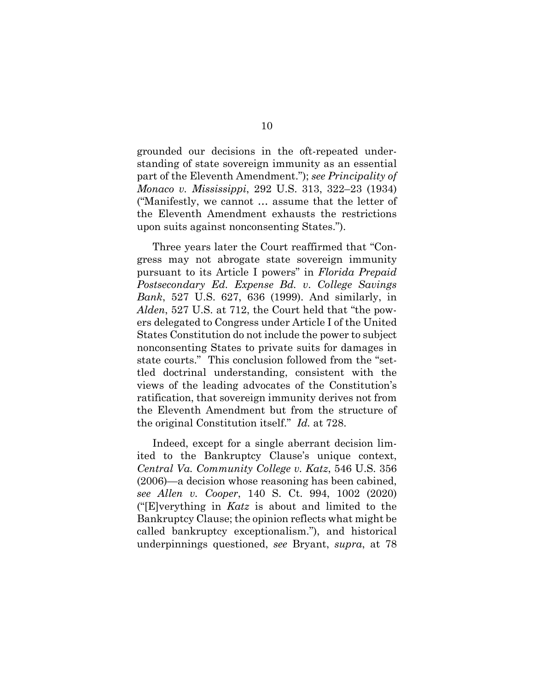grounded our decisions in the oft-repeated understanding of state sovereign immunity as an essential part of the Eleventh Amendment."); *see Principality of Monaco v. Mississippi*, 292 U.S. 313, 322–23 (1934) ("Manifestly, we cannot … assume that the letter of the Eleventh Amendment exhausts the restrictions upon suits against nonconsenting States.").

Three years later the Court reaffirmed that "Congress may not abrogate state sovereign immunity pursuant to its Article I powers" in *Florida Prepaid Postsecondary Ed. Expense Bd. v*. *College Savings Bank*, 527 U.S. 627, 636 (1999). And similarly, in *Alden*, 527 U.S. at 712, the Court held that "the powers delegated to Congress under Article I of the United States Constitution do not include the power to subject nonconsenting States to private suits for damages in state courts." This conclusion followed from the "settled doctrinal understanding, consistent with the views of the leading advocates of the Constitution's ratification, that sovereign immunity derives not from the Eleventh Amendment but from the structure of the original Constitution itself." *Id.* at 728.

Indeed, except for a single aberrant decision limited to the Bankruptcy Clause's unique context, *Central Va. Community College v. Katz*, 546 U.S. 356 (2006)—a decision whose reasoning has been cabined, *see Allen v. Cooper*, 140 S. Ct. 994, 1002 (2020) ("[E]verything in *Katz* is about and limited to the Bankruptcy Clause; the opinion reflects what might be called bankruptcy exceptionalism."), and historical underpinnings questioned, *see* Bryant, *supra*, at 78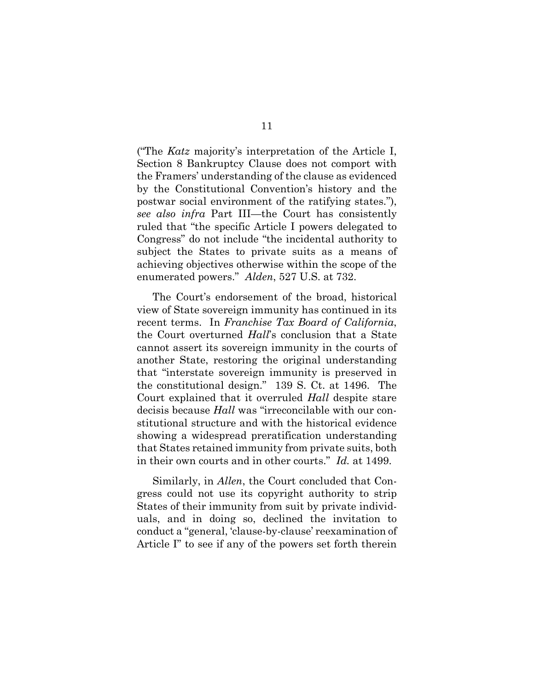("The *Katz* majority's interpretation of the Article I, Section 8 Bankruptcy Clause does not comport with the Framers' understanding of the clause as evidenced by the Constitutional Convention's history and the postwar social environment of the ratifying states."), *see also infra* Part III—the Court has consistently ruled that "the specific Article I powers delegated to Congress" do not include "the incidental authority to subject the States to private suits as a means of achieving objectives otherwise within the scope of the enumerated powers." *Alden*, 527 U.S. at 732.

The Court's endorsement of the broad, historical view of State sovereign immunity has continued in its recent terms. In *Franchise Tax Board of California*, the Court overturned *Hall*'s conclusion that a State cannot assert its sovereign immunity in the courts of another State, restoring the original understanding that "interstate sovereign immunity is preserved in the constitutional design." 139 S. Ct. at 1496. The Court explained that it overruled *Hall* despite stare decisis because *Hall* was "irreconcilable with our constitutional structure and with the historical evidence showing a widespread preratification understanding that States retained immunity from private suits, both in their own courts and in other courts." *Id.* at 1499.

Similarly, in *Allen*, the Court concluded that Congress could not use its copyright authority to strip States of their immunity from suit by private individuals, and in doing so, declined the invitation to conduct a "general, 'clause-by-clause' reexamination of Article I" to see if any of the powers set forth therein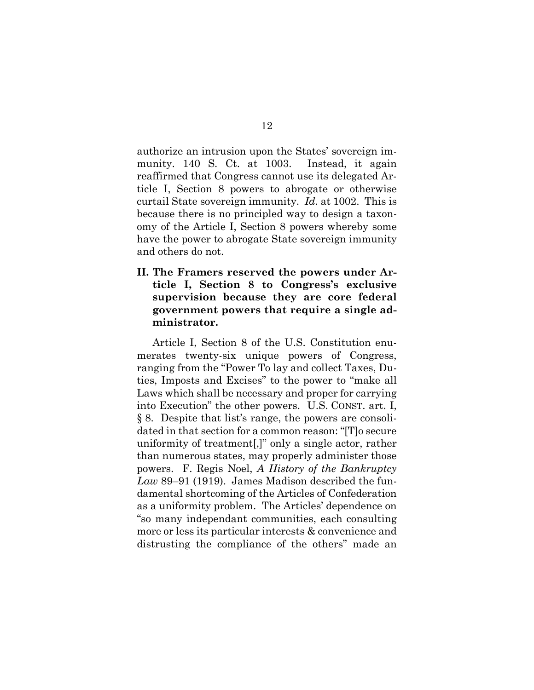authorize an intrusion upon the States' sovereign immunity. 140 S. Ct. at 1003. Instead, it again reaffirmed that Congress cannot use its delegated Article I, Section 8 powers to abrogate or otherwise curtail State sovereign immunity. *Id.* at 1002. This is because there is no principled way to design a taxonomy of the Article I, Section 8 powers whereby some have the power to abrogate State sovereign immunity and others do not.

**II. The Framers reserved the powers under Article I, Section 8 to Congress's exclusive supervision because they are core federal government powers that require a single administrator.** 

Article I, Section 8 of the U.S. Constitution enumerates twenty-six unique powers of Congress, ranging from the "Power To lay and collect Taxes, Duties, Imposts and Excises" to the power to "make all Laws which shall be necessary and proper for carrying into Execution" the other powers. U.S. CONST. art. I, § 8. Despite that list's range, the powers are consolidated in that section for a common reason: "[T]o secure uniformity of treatment[,]" only a single actor, rather than numerous states, may properly administer those powers. F. Regis Noel, *A History of the Bankruptcy Law* 89–91 (1919). James Madison described the fundamental shortcoming of the Articles of Confederation as a uniformity problem. The Articles' dependence on "so many independant communities, each consulting more or less its particular interests & convenience and distrusting the compliance of the others" made an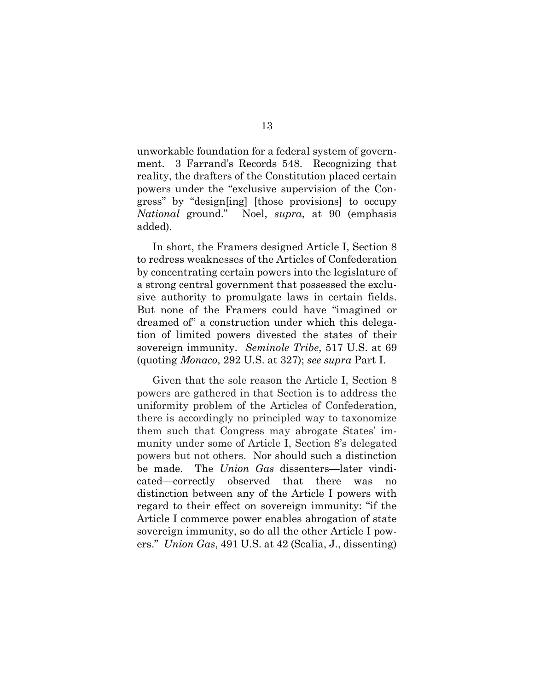unworkable foundation for a federal system of government. 3 Farrand's Records 548. Recognizing that reality, the drafters of the Constitution placed certain powers under the "exclusive supervision of the Congress" by "design[ing] [those provisions] to occupy *National* ground." Noel, *supra*, at 90 (emphasis added).

In short, the Framers designed Article I, Section 8 to redress weaknesses of the Articles of Confederation by concentrating certain powers into the legislature of a strong central government that possessed the exclusive authority to promulgate laws in certain fields. But none of the Framers could have "imagined or dreamed of" a construction under which this delegation of limited powers divested the states of their sovereign immunity. *Seminole Tribe*, 517 U.S. at 69 (quoting *Monaco*, 292 U.S. at 327); *see supra* Part I.

Given that the sole reason the Article I, Section 8 powers are gathered in that Section is to address the uniformity problem of the Articles of Confederation, there is accordingly no principled way to taxonomize them such that Congress may abrogate States' immunity under some of Article I, Section 8's delegated powers but not others. Nor should such a distinction be made. The *Union Gas* dissenters—later vindicated—correctly observed that there was no distinction between any of the Article I powers with regard to their effect on sovereign immunity: "if the Article I commerce power enables abrogation of state sovereign immunity, so do all the other Article I powers." *Union Gas*, 491 U.S. at 42 (Scalia, J., dissenting)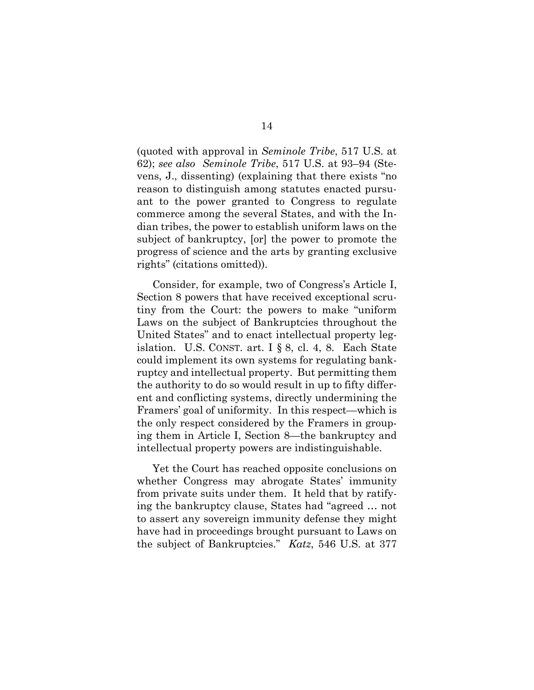(quoted with approval in *Seminole Tribe*, 517 U.S. at 62); *see also Seminole Tribe*, 517 U.S. at 93–94 (Stevens, J., dissenting) (explaining that there exists "no reason to distinguish among statutes enacted pursuant to the power granted to Congress to regulate commerce among the several States, and with the Indian tribes, the power to establish uniform laws on the subject of bankruptcy, [or] the power to promote the progress of science and the arts by granting exclusive rights" (citations omitted)).

Consider, for example, two of Congress's Article I, Section 8 powers that have received exceptional scrutiny from the Court: the powers to make "uniform Laws on the subject of Bankruptcies throughout the United States" and to enact intellectual property legislation. U.S. CONST. art. I § 8, cl. 4, 8. Each State could implement its own systems for regulating bankruptcy and intellectual property. But permitting them the authority to do so would result in up to fifty different and conflicting systems, directly undermining the Framers' goal of uniformity. In this respect—which is the only respect considered by the Framers in grouping them in Article I, Section 8—the bankruptcy and intellectual property powers are indistinguishable.

Yet the Court has reached opposite conclusions on whether Congress may abrogate States' immunity from private suits under them. It held that by ratifying the bankruptcy clause, States had "agreed … not to assert any sovereign immunity defense they might have had in proceedings brought pursuant to Laws on the subject of Bankruptcies." *Katz*, 546 U.S. at 377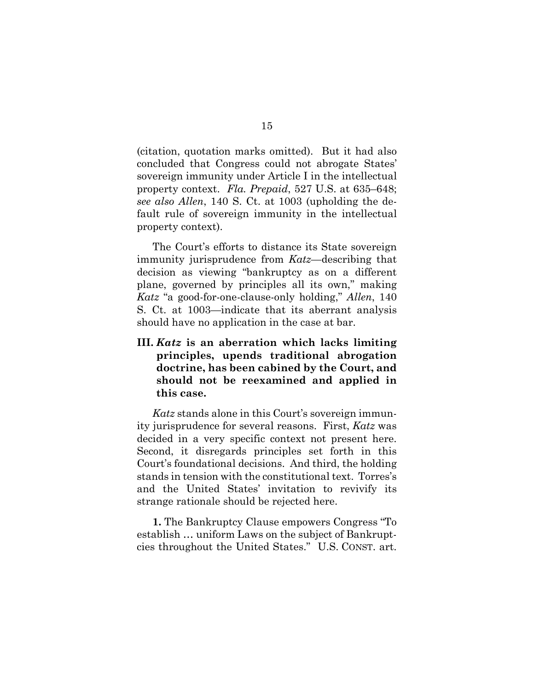(citation, quotation marks omitted). But it had also concluded that Congress could not abrogate States' sovereign immunity under Article I in the intellectual property context. *Fla. Prepaid*, 527 U.S. at 635–648; *see also Allen*, 140 S. Ct. at 1003 (upholding the default rule of sovereign immunity in the intellectual property context).

The Court's efforts to distance its State sovereign immunity jurisprudence from *Katz*—describing that decision as viewing "bankruptcy as on a different plane, governed by principles all its own," making *Katz* "a good-for-one-clause-only holding," *Allen*, 140 S. Ct. at 1003—indicate that its aberrant analysis should have no application in the case at bar.

**III.** *Katz* **is an aberration which lacks limiting principles, upends traditional abrogation doctrine, has been cabined by the Court, and should not be reexamined and applied in this case.**

*Katz* stands alone in this Court's sovereign immunity jurisprudence for several reasons. First, *Katz* was decided in a very specific context not present here. Second, it disregards principles set forth in this Court's foundational decisions. And third, the holding stands in tension with the constitutional text. Torres's and the United States' invitation to revivify its strange rationale should be rejected here.

**1.** The Bankruptcy Clause empowers Congress "To establish … uniform Laws on the subject of Bankruptcies throughout the United States." U.S. CONST. art.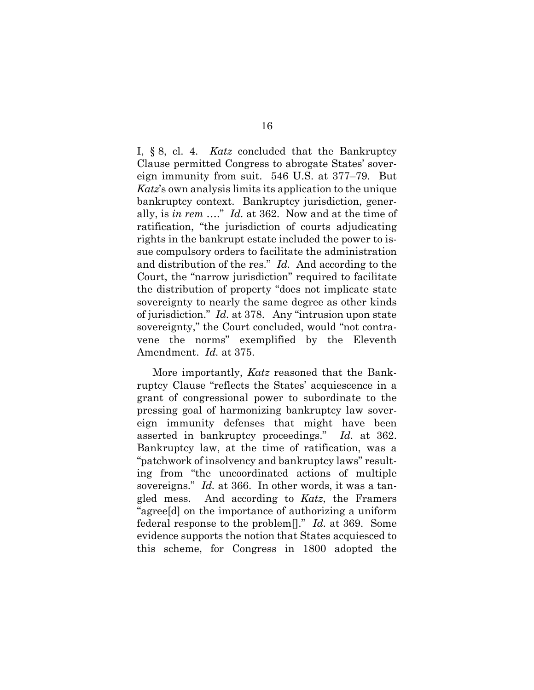I, § 8, cl. 4. *Katz* concluded that the Bankruptcy Clause permitted Congress to abrogate States' sovereign immunity from suit. 546 U.S. at 377–79. But *Katz*'s own analysis limits its application to the unique bankruptcy context. Bankruptcy jurisdiction, generally, is *in rem* …." *Id.* at 362. Now and at the time of ratification, "the jurisdiction of courts adjudicating rights in the bankrupt estate included the power to issue compulsory orders to facilitate the administration and distribution of the res." *Id.* And according to the Court, the "narrow jurisdiction" required to facilitate the distribution of property "does not implicate state sovereignty to nearly the same degree as other kinds of jurisdiction." *Id.* at 378. Any "intrusion upon state sovereignty," the Court concluded, would "not contravene the norms" exemplified by the Eleventh Amendment. *Id.* at 375.

More importantly, *Katz* reasoned that the Bankruptcy Clause "reflects the States' acquiescence in a grant of congressional power to subordinate to the pressing goal of harmonizing bankruptcy law sovereign immunity defenses that might have been asserted in bankruptcy proceedings." *Id.* at 362. Bankruptcy law, at the time of ratification, was a "patchwork of insolvency and bankruptcy laws" resulting from "the uncoordinated actions of multiple sovereigns." *Id.* at 366. In other words, it was a tangled mess. And according to *Katz*, the Framers "agree[d] on the importance of authorizing a uniform federal response to the problem[]." *Id.* at 369. Some evidence supports the notion that States acquiesced to this scheme, for Congress in 1800 adopted the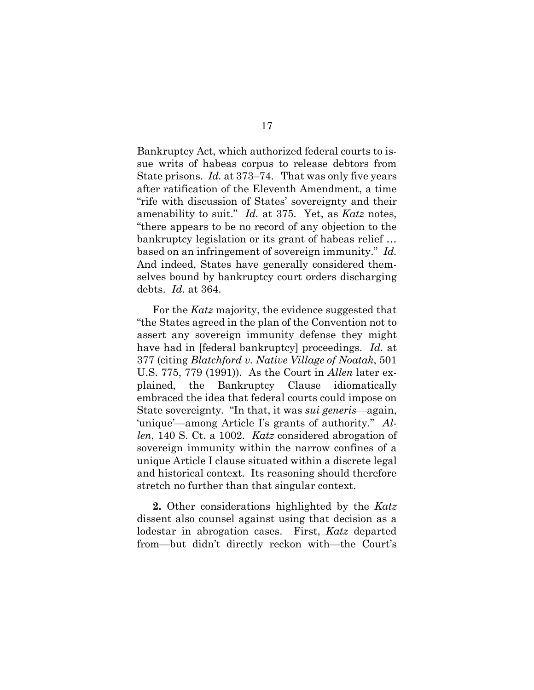Bankruptcy Act, which authorized federal courts to issue writs of habeas corpus to release debtors from State prisons. *Id.* at 373–74. That was only five years after ratification of the Eleventh Amendment, a time "rife with discussion of States' sovereignty and their amenability to suit." *Id.* at 375. Yet, as *Katz* notes, "there appears to be no record of any objection to the bankruptcy legislation or its grant of habeas relief … based on an infringement of sovereign immunity." *Id.* And indeed, States have generally considered themselves bound by bankruptcy court orders discharging debts. *Id.* at 364.

For the *Katz* majority, the evidence suggested that "the States agreed in the plan of the Convention not to assert any sovereign immunity defense they might have had in [federal bankruptcy] proceedings. *Id.* at 377 (citing *Blatchford v. Native Village of Noatak*, 501 U.S. 775, 779 (1991)). As the Court in *Allen* later explained, the Bankruptcy Clause idiomatically embraced the idea that federal courts could impose on State sovereignty. "In that, it was *sui generis*—again, 'unique'—among Article I's grants of authority." *Allen*, 140 S. Ct. a 1002. *Katz* considered abrogation of sovereign immunity within the narrow confines of a unique Article I clause situated within a discrete legal and historical context. Its reasoning should therefore stretch no further than that singular context.

**2.** Other considerations highlighted by the *Katz* dissent also counsel against using that decision as a lodestar in abrogation cases. First, *Katz* departed from—but didn't directly reckon with—the Court's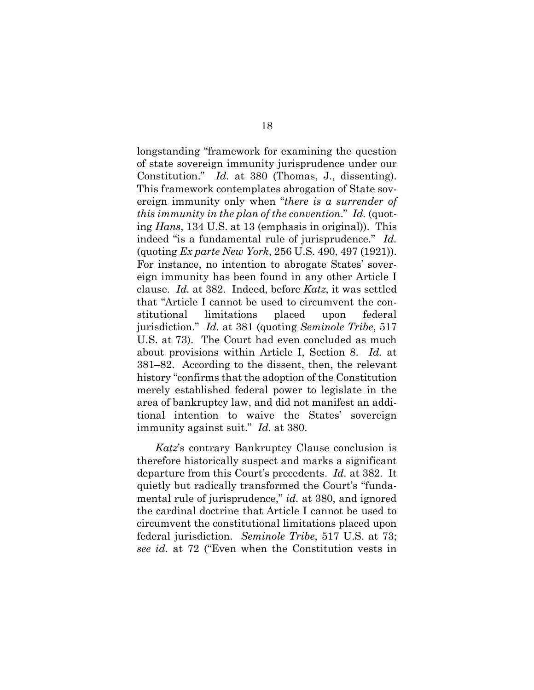longstanding "framework for examining the question of state sovereign immunity jurisprudence under our Constitution." *Id.* at 380 (Thomas, J., dissenting). This framework contemplates abrogation of State sovereign immunity only when "*there is a surrender of this immunity in the plan of the convention*." *Id.* (quoting *Hans*, 134 U.S. at 13 (emphasis in original)). This indeed "is a fundamental rule of jurisprudence." *Id.* (quoting *Ex parte New York*, 256 U.S. 490, 497 (1921)). For instance, no intention to abrogate States' sovereign immunity has been found in any other Article I clause. *Id.* at 382. Indeed, before *Katz*, it was settled that "Article I cannot be used to circumvent the constitutional limitations placed upon federal jurisdiction." *Id.* at 381 (quoting *Seminole Tribe*, 517 U.S. at 73). The Court had even concluded as much about provisions within Article I, Section 8. *Id.* at 381–82. According to the dissent, then, the relevant history "confirms that the adoption of the Constitution merely established federal power to legislate in the area of bankruptcy law, and did not manifest an additional intention to waive the States' sovereign immunity against suit." *Id.* at 380.

*Katz*'s contrary Bankruptcy Clause conclusion is therefore historically suspect and marks a significant departure from this Court's precedents. *Id.* at 382. It quietly but radically transformed the Court's "fundamental rule of jurisprudence," *id.* at 380, and ignored the cardinal doctrine that Article I cannot be used to circumvent the constitutional limitations placed upon federal jurisdiction. *Seminole Tribe*, 517 U.S. at 73; *see id.* at 72 ("Even when the Constitution vests in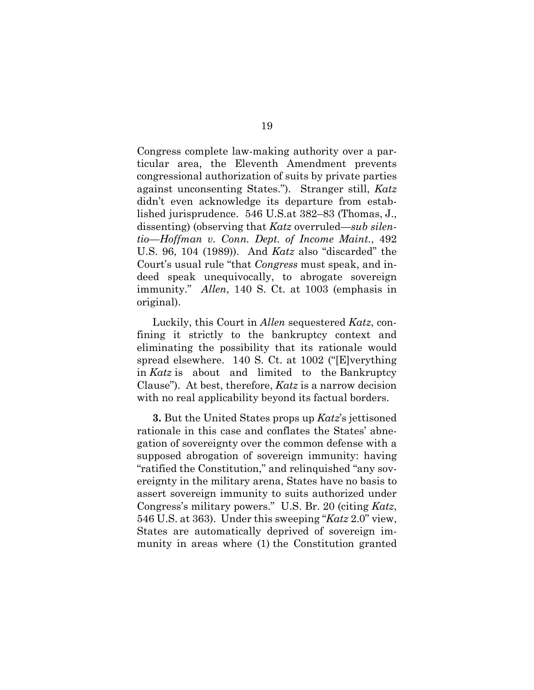Congress complete law-making authority over a particular area, the Eleventh Amendment prevents congressional authorization of suits by private parties against unconsenting States."). Stranger still, *Katz* didn't even acknowledge its departure from established jurisprudence. 546 U.S.at 382–83 (Thomas, J., dissenting) (observing that *Katz* overruled—*sub silentio*—*Hoffman v. Conn. Dept. of Income Maint.*, 492 U.S. 96, 104 (1989)). And *Katz* also "discarded" the Court's usual rule "that *Congress* must speak, and indeed speak unequivocally, to abrogate sovereign immunity." *Allen*, 140 S. Ct. at 1003 (emphasis in original).

Luckily, this Court in *Allen* sequestered *Katz*, confining it strictly to the bankruptcy context and eliminating the possibility that its rationale would spread elsewhere. 140 S. Ct. at 1002 ("[E]verything in *Katz* is about and limited to the Bankruptcy Clause"). At best, therefore, *Katz* is a narrow decision with no real applicability beyond its factual borders.

**3.** But the United States props up *Katz*'s jettisoned rationale in this case and conflates the States' abnegation of sovereignty over the common defense with a supposed abrogation of sovereign immunity: having "ratified the Constitution," and relinquished "any sovereignty in the military arena, States have no basis to assert sovereign immunity to suits authorized under Congress's military powers." U.S. Br. 20 (citing *Katz*, 546 U.S. at 363). Under this sweeping "*Katz* 2.0" view, States are automatically deprived of sovereign immunity in areas where (1) the Constitution granted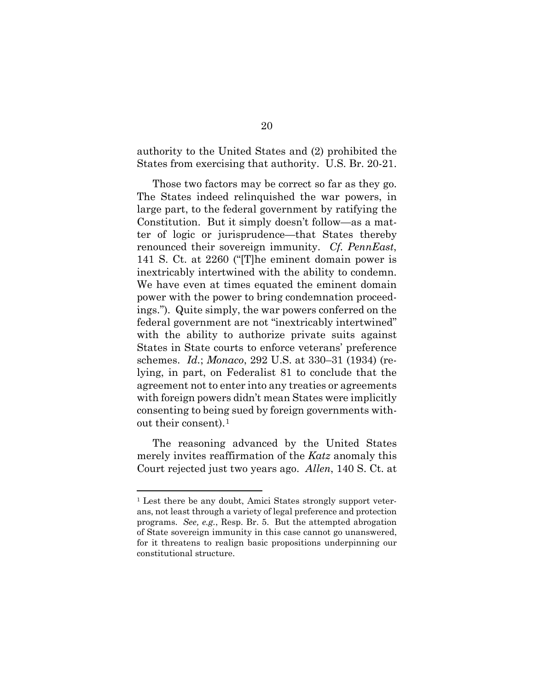authority to the United States and (2) prohibited the States from exercising that authority. U.S. Br. 20-21.

Those two factors may be correct so far as they go. The States indeed relinquished the war powers, in large part, to the federal government by ratifying the Constitution. But it simply doesn't follow—as a matter of logic or jurisprudence—that States thereby renounced their sovereign immunity. *Cf. PennEast*, 141 S. Ct. at 2260 ("[T]he eminent domain power is inextricably intertwined with the ability to condemn. We have even at times equated the eminent domain power with the power to bring condemnation proceedings."). Quite simply, the war powers conferred on the federal government are not "inextricably intertwined" with the ability to authorize private suits against States in State courts to enforce veterans' preference schemes. *Id.*; *Monaco*, 292 U.S. at 330–31 (1934) (relying, in part, on Federalist 81 to conclude that the agreement not to enter into any treaties or agreements with foreign powers didn't mean States were implicitly consenting to being sued by foreign governments without their consent).[1](#page-24-0)

The reasoning advanced by the United States merely invites reaffirmation of the *Katz* anomaly this Court rejected just two years ago. *Allen*, 140 S. Ct. at

<span id="page-24-0"></span><sup>1</sup> Lest there be any doubt, Amici States strongly support veterans, not least through a variety of legal preference and protection programs. *See, e.g.*, Resp. Br. 5. But the attempted abrogation of State sovereign immunity in this case cannot go unanswered, for it threatens to realign basic propositions underpinning our constitutional structure.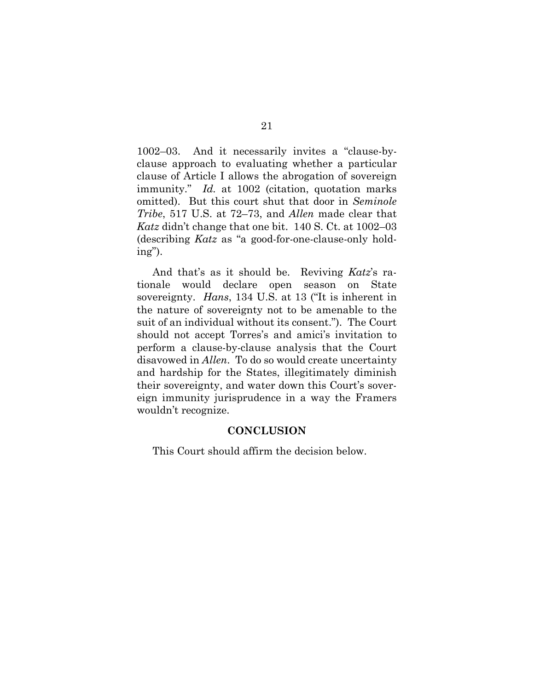1002–03. And it necessarily invites a "clause-byclause approach to evaluating whether a particular clause of Article I allows the abrogation of sovereign immunity." *Id.* at 1002 (citation, quotation marks omitted). But this court shut that door in *Seminole Tribe*, 517 U.S. at 72–73, and *Allen* made clear that *Katz* didn't change that one bit. 140 S. Ct. at 1002–03 (describing *Katz* as "a good-for-one-clause-only holding").

And that's as it should be. Reviving *Katz*'s rationale would declare open season on State sovereignty. *Hans*, 134 U.S. at 13 ("It is inherent in the nature of sovereignty not to be amenable to the suit of an individual without its consent."). The Court should not accept Torres's and amici's invitation to perform a clause-by-clause analysis that the Court disavowed in *Allen*. To do so would create uncertainty and hardship for the States, illegitimately diminish their sovereignty, and water down this Court's sovereign immunity jurisprudence in a way the Framers wouldn't recognize.

#### **CONCLUSION**

This Court should affirm the decision below.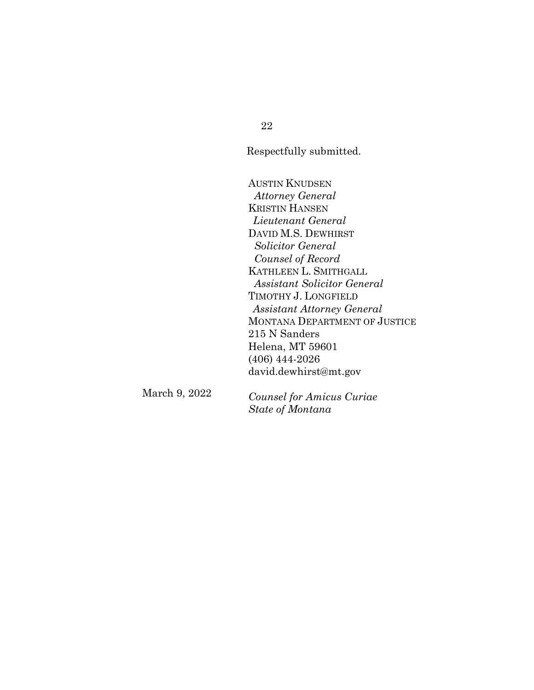22

Respectfully submitted.

AUSTIN KNUDSEN *Attorney General* KRISTIN HANSEN *Lieutenant General* DAVID M.S. DEWHIRST  *Solicitor General Counsel of Record* KATHLEEN L. SMITHGALL  *Assistant Solicitor General*  TIMOTHY J. LONGFIELD *Assistant Attorney General* MONTANA DEPARTMENT OF JUSTICE 215 N Sanders Helena, MT 59601 (406) 444-2026 [david.dewhirst@mt.gov](mailto:david.dewhirst@mt.gov)

March 9, 2022

*Counsel for Amicus Curiae State of Montana*